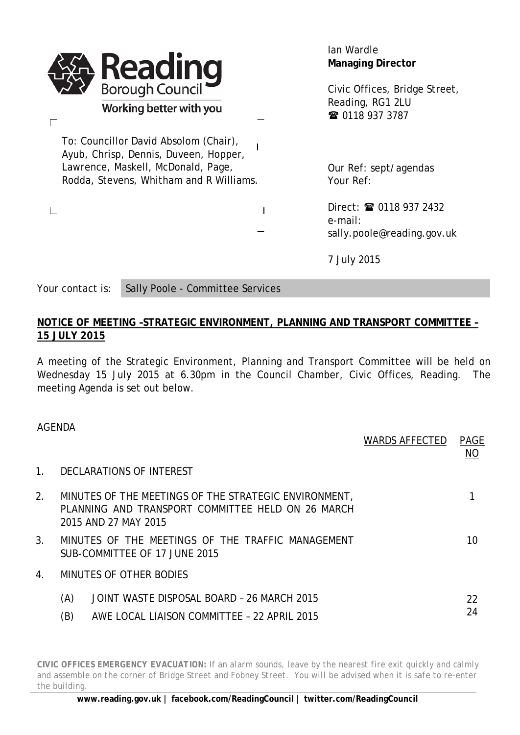| <b>Reading</b><br>Borough Council                                                                                                                               | lan Wardle<br><b>Managing Director</b>                               |
|-----------------------------------------------------------------------------------------------------------------------------------------------------------------|----------------------------------------------------------------------|
| Working better with you                                                                                                                                         | Civic Offices, Bridge Street,<br>Reading, RG1 2LU<br>☎ 0118 937 3787 |
| To: Councillor David Absolom (Chair),<br>Ayub, Chrisp, Dennis, Duveen, Hopper,<br>Lawrence, Maskell, McDonald, Page,<br>Rodda, Stevens, Whitham and R Williams. | Our Ref: sept/agendas<br>Your Ref:                                   |
|                                                                                                                                                                 | Direct: 2 0118 937 2432<br>e-mail:<br>sally.poole@reading.gov.uk     |
|                                                                                                                                                                 | 7 July 2015                                                          |

Your contact is: Sally Poole - Committee Services

## **NOTICE OF MEETING –STRATEGIC ENVIRONMENT, PLANNING AND TRANSPORT COMMITTEE – 15 JULY 2015**

A meeting of the Strategic Environment, Planning and Transport Committee will be held on Wednesday 15 July 2015 at 6.30pm in the Council Chamber, Civic Offices, Reading. The meeting Agenda is set out below.

| AGENDA               |     |                                                                                                                                    | <b>WARDS AFFECTED</b> | <b>PAGE</b> |
|----------------------|-----|------------------------------------------------------------------------------------------------------------------------------------|-----------------------|-------------|
|                      |     |                                                                                                                                    |                       | NO          |
| $\mathbf{1}_{\cdot}$ |     | DECLARATIONS OF INTEREST                                                                                                           |                       |             |
| 2.                   |     | MINUTES OF THE MEETINGS OF THE STRATEGIC ENVIRONMENT,<br>PLANNING AND TRANSPORT COMMITTEE HELD ON 26 MARCH<br>2015 AND 27 MAY 2015 |                       |             |
| 3 <sub>1</sub>       |     | MINUTES OF THE MEETINGS OF THE TRAFFIC MANAGEMENT<br>SUB-COMMITTEE OF 17 JUNE 2015                                                 |                       | 10          |
| 4.                   |     | MINUTES OF OTHER BODIES                                                                                                            |                       |             |
|                      | (A) | JOINT WASTE DISPOSAL BOARD - 26 MARCH 2015                                                                                         |                       | 22          |
|                      | (B) | AWE LOCAL LIAISON COMMITTEE - 22 APRIL 2015                                                                                        |                       | 24          |

*CIVIC OFFICES EMERGENCY EVACUATION: If an alarm sounds, leave by the nearest fire exit quickly and calmly and assemble on the corner of Bridge Street and Fobney Street. You will be advised when it is safe to re-enter the building.*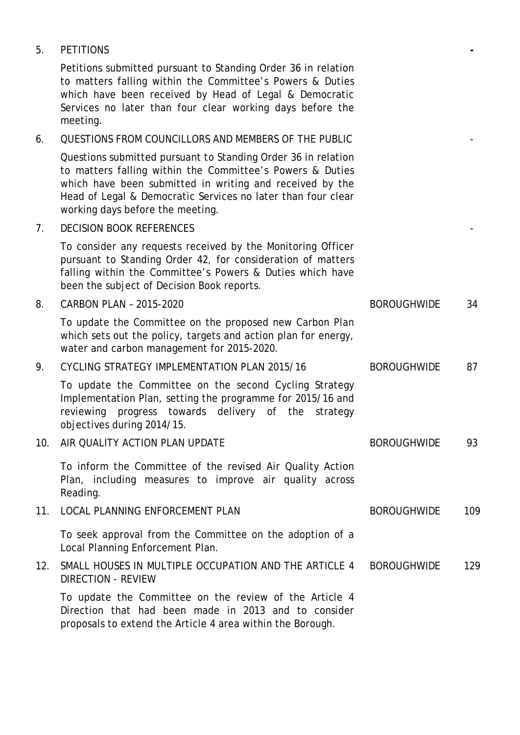| 5.  | <b>PETITIONS</b>                                                                                                                                                                                                                                                                           |                    |     |
|-----|--------------------------------------------------------------------------------------------------------------------------------------------------------------------------------------------------------------------------------------------------------------------------------------------|--------------------|-----|
|     | Petitions submitted pursuant to Standing Order 36 in relation<br>to matters falling within the Committee's Powers & Duties<br>which have been received by Head of Legal & Democratic<br>Services no later than four clear working days before the<br>meeting.                              |                    |     |
| 6.  | QUESTIONS FROM COUNCILLORS AND MEMBERS OF THE PUBLIC                                                                                                                                                                                                                                       |                    |     |
|     | Questions submitted pursuant to Standing Order 36 in relation<br>to matters falling within the Committee's Powers & Duties<br>which have been submitted in writing and received by the<br>Head of Legal & Democratic Services no later than four clear<br>working days before the meeting. |                    |     |
| 7.  | <b>DECISION BOOK REFERENCES</b>                                                                                                                                                                                                                                                            |                    |     |
|     | To consider any requests received by the Monitoring Officer<br>pursuant to Standing Order 42, for consideration of matters<br>falling within the Committee's Powers & Duties which have<br>been the subject of Decision Book reports.                                                      |                    |     |
| 8.  | CARBON PLAN - 2015-2020                                                                                                                                                                                                                                                                    | <b>BOROUGHWIDE</b> | 34  |
|     | To update the Committee on the proposed new Carbon Plan<br>which sets out the policy, targets and action plan for energy,<br>water and carbon management for 2015-2020.                                                                                                                    |                    |     |
| 9.  | CYCLING STRATEGY IMPLEMENTATION PLAN 2015/16                                                                                                                                                                                                                                               | <b>BOROUGHWIDE</b> | 87  |
|     | To update the Committee on the second Cycling Strategy<br>Implementation Plan, setting the programme for 2015/16 and<br>reviewing progress towards delivery of the<br>strategy<br>objectives during 2014/15.                                                                               |                    |     |
| 10. | AIR QUALITY ACTION PLAN UPDATE                                                                                                                                                                                                                                                             | <b>BOROUGHWIDE</b> | 93  |
|     | To inform the Committee of the revised Air Quality Action<br>Plan, including measures to improve air quality across<br>Reading.                                                                                                                                                            |                    |     |
| 11. | LOCAL PLANNING ENFORCEMENT PLAN                                                                                                                                                                                                                                                            | <b>BOROUGHWIDE</b> | 109 |
|     | To seek approval from the Committee on the adoption of a<br>Local Planning Enforcement Plan.                                                                                                                                                                                               |                    |     |
| 12. | SMALL HOUSES IN MULTIPLE OCCUPATION AND THE ARTICLE 4<br><b>DIRECTION - REVIEW</b>                                                                                                                                                                                                         | <b>BOROUGHWIDE</b> | 129 |
|     | To update the Committee on the review of the Article 4<br>Direction that had been made in 2013 and to consider                                                                                                                                                                             |                    |     |

proposals to extend the Article 4 area within the Borough.

5. PETITIONS